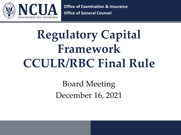

**Office of Examination & Insurance Office of General Counsel**

# **Regulatory Capital Framework CCULR/RBC Final Rule**

Board Meeting December 16, 2021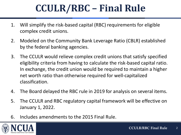## **CCULR/RBC – Final Rule**

- 1. Will simplify the risk-based capital (RBC) requirements for eligible complex credit unions.
- 2. Modeled on the Community Bank Leverage Ratio (CBLR) established by the federal banking agencies.
- 3. The CCULR would relieve complex credit unions that satisfy specified eligibility criteria from having to calculate the risk-based capital ratio. In exchange, the credit union would be required to maintain a higher net worth ratio than otherwise required for well-capitalized classification.
- 4. The Board delayed the RBC rule in 2019 for analysis on several items.
- 5. The CCULR and RBC regulatory capital framework will be effective on January 1, 2022.
- 6. Includes amendments to the 2015 Final Rule.

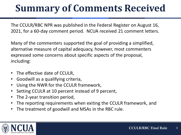## **Summary of Comments Received**

The CCULR/RBC NPR was published in the Federal Register on August 16, 2021, for a 60-day comment period. NCUA received 21 comment letters.

Many of the commenters supported the goal of providing a simplified, alternative measure of capital adequacy, however, most commenters expressed some concerns about specific aspects of the proposal, including:

- The effective date of CCULR,
- Goodwill as a qualifying criteria,
- Using the NWR for the CCULR framework,
- Setting CCULR at 10 percent instead of 9 percent,
- The 2-year transition period,
- The reporting requirements when exiting the CCULR framework, and
- The treatment of goodwill and MSAs in the RBC rule.

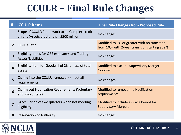## **CCULR – Final Rule Changes**

| #                       | <b>CCULR Items</b>                                                                           | <b>Final Rule Changes from Proposed Rule</b>                                                    |
|-------------------------|----------------------------------------------------------------------------------------------|-------------------------------------------------------------------------------------------------|
| $\mathbf{1}$            | Scope of CCULR Framework to all Complex credit<br>unions (Assets greater than \$500 million) | No changes                                                                                      |
| $2^{\circ}$             | <b>CCULR Ratio</b>                                                                           | Modified to 9% or greater with no transition,<br>from 10% with 2-year transition starting at 9% |
| $\overline{\mathbf{3}}$ | Eligibility items for OBS exposures and Trading<br>Assets/Liabilities                        | No changes                                                                                      |
| $\overline{4}$          | Eligibility item for Goodwill of 2% or less of total<br>assets                               | <b>Modified to exclude Supervisory Merger</b><br>Goodwill                                       |
| 5                       | Opting into the CCULR framework (meet all<br>requirements)                                   | No changes                                                                                      |
| 6                       | <b>Opting out Notification Requirements (Voluntary</b><br>and Involuntary)                   | <b>Modified to remove the Notification</b><br>requirements                                      |
| 7                       | Grace Period of two quarters when not meeting<br>Eligibility                                 | Modified to include a Grace Period for<br><b>Supervisory Mergers</b>                            |
| 8                       | <b>Reservation of Authority</b>                                                              | No changes                                                                                      |

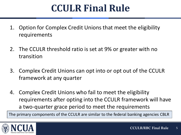## **CCULR Final Rule**

- 1. Option for Complex Credit Unions that meet the eligibility requirements
- 2. The CCULR threshold ratio is set at 9% or greater with no transition
- 3. Complex Credit Unions can opt into or opt out of the CCULR framework at any quarter
- 4. Complex Credit Unions who fail to meet the eligibility requirements after opting into the CCULR framework will have a two-quarter grace period to meet the requirements

The primary components of the CCULR are similar to the federal banking agencies CBLR

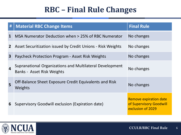### **RBC – Final Rule Changes**

| #              | <b>Material RBC Change Items</b>                                                              | <b>Final Rule</b>                                                             |
|----------------|-----------------------------------------------------------------------------------------------|-------------------------------------------------------------------------------|
| $\mathbf{1}$   | MSA Numerator Deduction when > 25% of RBC Numerator                                           | No changes                                                                    |
| 2 <sup>1</sup> | Asset Securitization issued by Credit Unions - Risk Weights                                   | No changes                                                                    |
| $\mathbf{3}$   | Paycheck Protection Program - Asset Risk Weights                                              | No changes                                                                    |
| $\overline{4}$ | Supranational Organizations and Multilateral Development<br><b>Banks - Asset Risk Weights</b> | No changes                                                                    |
| 5              | Off-Balance Sheet Exposure Credit Equivalents and Risk<br><b>Weights</b>                      | No changes                                                                    |
| 6              | Supervisory Goodwill exclusion (Expiration date)                                              | <b>Remove expiration date</b><br>of Supervisory Goodwill<br>exclusion of 2029 |

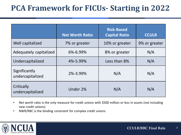### **PCA Framework for FICUs- Starting in 2022**

|                                   | <b>Net Worth Ratio</b> | <b>Risk-Based</b><br><b>Capital Ratio</b> | <b>CCULR</b>  |
|-----------------------------------|------------------------|-------------------------------------------|---------------|
| Well capitalized                  | 7% or greater          | 10% or greater                            | 9% or greater |
| Adequately capitalized            | 6%-6.99%               | 8% or greater                             | N/A           |
| Undercapitalized                  | 4%-5.99%               | Less than 8%                              | N/A           |
| Significantly<br>undercapitalized | 2%-3.99%               | N/A                                       | N/A           |
| Critically<br>undercapitalized    | Under 2%               | N/A                                       | N/A           |

- Net worth ratio is the only measure for credit unions with \$500 million or less in assets (not including new credit unions)
- NWR/RBC is the binding constraint for complex credit unions

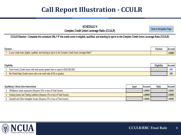#### **Call Report Illustration - CCULR**

#### **SCHEDULE H**

**Complex Credit Union Leverage Ratio (CCULR)** 

Back to Navigation Page

#### CCULR Election - Complete this schedule ONLY IF the credit union is eligible, qualified, and electing to opt-in to the Complex Credit Union Leverage Ratio (CCULR)

| <b>Election</b>                                                                                              |  | <b>Account</b> |
|--------------------------------------------------------------------------------------------------------------|--|----------------|
| Is your credit union eligible, qualified, and electing to opt-in to the Complex Credit Union Leverage Ratio? |  | <b>LR0001</b>  |

| <b>Eligibility</b>                                                                    |  | <b>Account</b> |
|---------------------------------------------------------------------------------------|--|----------------|
| Total Assets (Credit unions with total assets greater than or equal to \$500,000,000) |  | 010            |
| 3. Net Worth Ratio (Credit unions with a net worth ratio of 9% or greater)            |  | 000<br>ສສເ     |

| <b>Qualifying Criteria (See Instructions)</b> |                                                                                 | <b>Input</b> | <b>Account</b> | Ratio | <b>Account</b> |
|-----------------------------------------------|---------------------------------------------------------------------------------|--------------|----------------|-------|----------------|
|                                               | Off-Balance sheet exposures (Requires 25% or less of Total Assets)              |              | <b>LR0002</b>  |       | <b>LR0003</b>  |
|                                               | 5. Trading Assets and Trading Liabilities (Requires 5% or less of Total Assets) |              | <b>LR0004</b>  |       | <b>LR0005</b>  |
|                                               | 6. Goodwill and Other Intangible Assets (Requires 2% or less of Total Assets)   |              | <b>LR0006</b>  |       | <b>LR0007</b>  |